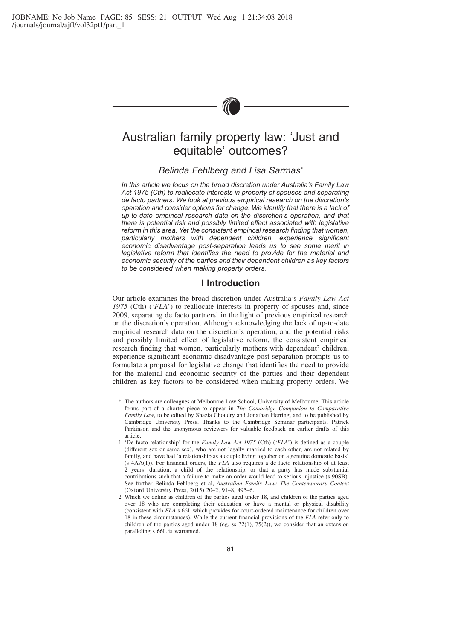

# Australian family property law: 'Just and equitable' outcomes?

# *Belinda Fehlberg and Lisa Sarmas\**

*In this article we focus on the broad discretion under Australia's Family Law Act 1975 (Cth) to reallocate interests in property of spouses and separating de facto partners. We look at previous empirical research on the discretion's operation and consider options for change. We identify that there is a lack of up-to-date empirical research data on the discretion's operation, and that there is potential risk and possibly limited effect associated with legislative reform in this area. Yet the consistent empirical research finding that women, particularly mothers with dependent children, experience significant economic disadvantage post-separation leads us to see some merit in legislative reform that identifies the need to provide for the material and economic security of the parties and their dependent children as key factors to be considered when making property orders.*

### **I Introduction**

Our article examines the broad discretion under Australia's *Family Law Act 1975* (Cth) ('*FLA*') to reallocate interests in property of spouses and, since  $2009$ , separating de facto partners<sup>1</sup> in the light of previous empirical research on the discretion's operation. Although acknowledging the lack of up-to-date empirical research data on the discretion's operation, and the potential risks and possibly limited effect of legislative reform, the consistent empirical research finding that women, particularly mothers with dependent<sup>2</sup> children, experience significant economic disadvantage post-separation prompts us to formulate a proposal for legislative change that identifies the need to provide for the material and economic security of the parties and their dependent children as key factors to be considered when making property orders. We

<sup>\*</sup> The authors are colleagues at Melbourne Law School, University of Melbourne. This article forms part of a shorter piece to appear in *The Cambridge Companion to Comparative Family Law*, to be edited by Shazia Choudry and Jonathan Herring, and to be published by Cambridge University Press. Thanks to the Cambridge Seminar participants, Patrick Parkinson and the anonymous reviewers for valuable feedback on earlier drafts of this article.

<sup>1 &#</sup>x27;De facto relationship' for the *Family Law Act 1975* (Cth) ('*FLA*') is defined as a couple (different sex or same sex), who are not legally married to each other, are not related by family, and have had 'a relationship as a couple living together on a genuine domestic basis' (s 4AA(1)). For financial orders, the *FLA* also requires a de facto relationship of at least 2 years' duration, a child of the relationship, or that a party has made substantial contributions such that a failure to make an order would lead to serious injustice (s 90SB). See further Belinda Fehlberg et al, *Australian Family Law: The Contemporary Context* (Oxford University Press, 2015) 20–2, 91–8, 495–6.

<sup>2</sup> Which we define as children of the parties aged under 18, and children of the parties aged over 18 who are completing their education or have a mental or physical disability (consistent with *FLA* s 66L which provides for court-ordered maintenance for children over 18 in these circumstances). While the current financial provisions of the *FLA* refer only to children of the parties aged under 18 (eg, ss  $72(1)$ ,  $75(2)$ ), we consider that an extension paralleling s 66L is warranted.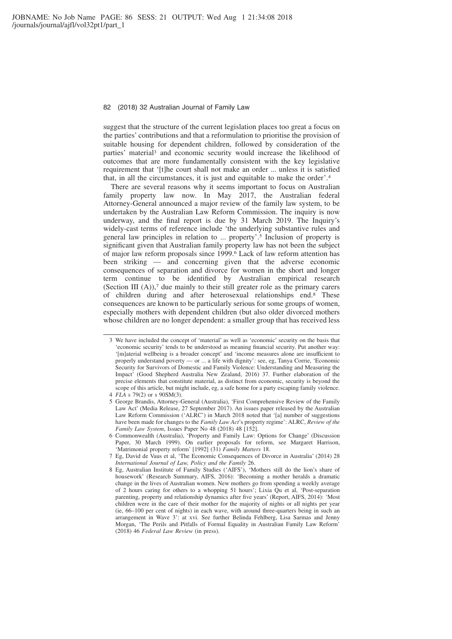suggest that the structure of the current legislation places too great a focus on the parties' contributions and that a reformulation to prioritise the provision of suitable housing for dependent children, followed by consideration of the parties' material<sup>3</sup> and economic security would increase the likelihood of outcomes that are more fundamentally consistent with the key legislative requirement that '[t]he court shall not make an order ... unless it is satisfied that, in all the circumstances, it is just and equitable to make the order'.4

There are several reasons why it seems important to focus on Australian family property law now. In May 2017, the Australian federal Attorney-General announced a major review of the family law system, to be undertaken by the Australian Law Reform Commission. The inquiry is now underway, and the final report is due by 31 March 2019. The Inquiry's widely-cast terms of reference include 'the underlying substantive rules and general law principles in relation to ... property'.5 Inclusion of property is significant given that Australian family property law has not been the subject of major law reform proposals since 1999.6 Lack of law reform attention has been striking — and concerning given that the adverse economic consequences of separation and divorce for women in the short and longer term continue to be identified by Australian empirical research (Section III  $(A)$ ),<sup>7</sup> due mainly to their still greater role as the primary carers of children during and after heterosexual relationships end.8 These consequences are known to be particularly serious for some groups of women, especially mothers with dependent children (but also older divorced mothers whose children are no longer dependent: a smaller group that has received less

<sup>3</sup> We have included the concept of 'material' as well as 'economic' security on the basis that 'economic security' tends to be understood as meaning financial security. Put another way: '[m]aterial wellbeing is a broader concept' and 'income measures alone are insufficient to properly understand poverty — or ... a life with dignity': see, eg, Tanya Corrie, 'Economic Security for Survivors of Domestic and Family Violence: Understanding and Measuring the Impact' (Good Shepherd Australia New Zealand, 2016) 37. Further elaboration of the precise elements that constitute material, as distinct from economic, security is beyond the scope of this article, but might include, eg, a safe home for a party escaping family violence. 4 *FLA* s 79(2) or s 90SM(3).

<sup>5</sup> George Brandis, Attorney-General (Australia), 'First Comprehensive Review of the Family Law Act' (Media Release, 27 September 2017). An issues paper released by the Australian Law Reform Commission ('ALRC') in March 2018 noted that '[a] number of suggestions have been made for changes to the *Family Law Act*'s property regime': ALRC, *Review of the Family Law System*, Issues Paper No 48 (2018) 48 [152].

<sup>6</sup> Commonwealth (Australia), 'Property and Family Law: Options for Change' (Discussion Paper, 30 March 1999). On earlier proposals for reform, see Margaret Harrison, 'Matrimonial property reform' [1992] (31) *Family Matters* 18.

<sup>7</sup> Eg, David de Vaus et al, 'The Economic Consequences of Divorce in Australia' (2014) 28 *International Journal of Law, Policy and the Family* 26.

<sup>8</sup> Eg, Australian Institute of Family Studies ('AIFS'), 'Mothers still do the lion's share of housework' (Research Summary, AIFS, 2016): 'Becoming a mother heralds a dramatic change in the lives of Australian women. New mothers go from spending a weekly average of 2 hours caring for others to a whopping 51 hours'; Lixia Qu et al, 'Post-separation parenting, property and relationship dynamics after five years' (Report, AIFS, 2014): 'Most children were in the care of their mother for the majority of nights or all nights per year (ie, 66–100 per cent of nights) in each wave, with around three-quarters being in such an arrangement in Wave 3': at xvi. See further Belinda Fehlberg, Lisa Sarmas and Jenny Morgan, 'The Perils and Pitfalls of Formal Equality in Australian Family Law Reform' (2018) 46 *Federal Law Review* (in press).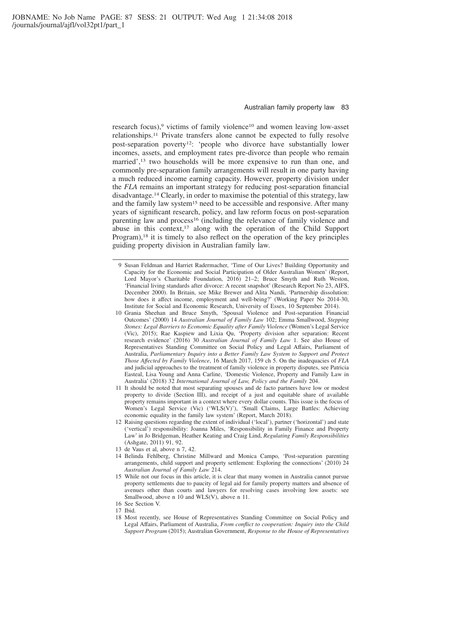research focus),<sup>9</sup> victims of family violence<sup>10</sup> and women leaving low-asset relationships.11 Private transfers alone cannot be expected to fully resolve post-separation poverty<sup>12</sup>: 'people who divorce have substantially lower incomes, assets, and employment rates pre-divorce than people who remain married',<sup>13</sup> two households will be more expensive to run than one, and commonly pre-separation family arrangements will result in one party having a much reduced income earning capacity. However, property division under the *FLA* remains an important strategy for reducing post-separation financial disadvantage.14 Clearly, in order to maximise the potential of this strategy, law and the family law system<sup>15</sup> need to be accessible and responsive. After many years of significant research, policy, and law reform focus on post-separation parenting law and process<sup>16</sup> (including the relevance of family violence and abuse in this context,<sup>17</sup> along with the operation of the Child Support Program),18 it is timely to also reflect on the operation of the key principles guiding property division in Australian family law.

- 11 It should be noted that most separating spouses and de facto partners have low or modest property to divide (Section III), and receipt of a just and equitable share of available property remains important in a context where every dollar counts. This issue is the focus of Women's Legal Service (Vic) ('WLS(V)'), 'Small Claims, Large Battles: Achieving economic equality in the family law system' (Report, March 2018).
- 12 Raising questions regarding the extent of individual ('local'), partner ('horizontal') and state ('vertical') responsibility: Joanna Miles, 'Responsibility in Family Finance and Property Law' in Jo Bridgeman, Heather Keating and Craig Lind, *Regulating Family Responsibilities* (Ashgate, 2011) 91, 92.
- 13 de Vaus et al, above n 7, 42.
- 14 Belinda Fehlberg, Christine Millward and Monica Campo, 'Post-separation parenting arrangements, child support and property settlement: Exploring the connections' (2010) 24 *Australian Journal of Family Law* 214.
- 15 While not our focus in this article, it is clear that many women in Australia cannot pursue property settlements due to paucity of legal aid for family property matters and absence of avenues other than courts and lawyers for resolving cases involving low assets: see Smallwood, above n 10 and WLS(V), above n 11.
- 16 See Section V.
- 17 Ibid.
- 18 Most recently, see House of Representatives Standing Committee on Social Policy and Legal Affairs, Parliament of Australia, *From conflict to cooperation: Inquiry into the Child Support Program* (2015); Australian Government, *Response to the House of Representatives*

<sup>9</sup> Susan Feldman and Harriet Radermacher, 'Time of Our Lives? Building Opportunity and Capacity for the Economic and Social Participation of Older Australian Women' (Report, Lord Mayor's Charitable Foundation, 2016) 21–2; Bruce Smyth and Ruth Weston, 'Financial living standards after divorce: A recent snapshot' (Research Report No 23, AIFS, December 2000). In Britain, see Mike Brewer and Alita Nandi, 'Partnership dissolution: how does it affect income, employment and well-being?' (Working Paper No 2014-30, Institute for Social and Economic Research, University of Essex, 10 September 2014).

<sup>10</sup> Grania Sheehan and Bruce Smyth, 'Spousal Violence and Post-separation Financial Outcomes' (2000) 14 *Australian Journal of Family Law* 102; Emma Smallwood, *Stepping Stones: Legal Barriers to Economic Equality after Family Violence* (Women's Legal Service (Vic), 2015); Rae Kaspiew and Lixia Qu, 'Property division after separation: Recent research evidence' (2016) 30 *Australian Journal of Family Law* 1. See also House of Representatives Standing Committee on Social Policy and Legal Affairs, Parliament of Australia, *Parliamentary Inquiry into a Better Family Law System to Support and Protect Those Affected by Family Violence*, 16 March 2017, 159 ch 5. On the inadequacies of *FLA* and judicial approaches to the treatment of family violence in property disputes, see Patricia Easteal, Lisa Young and Anna Carline, 'Domestic Violence, Property and Family Law in Australia' (2018) 32 *International Journal of Law, Policy and the Family* 204.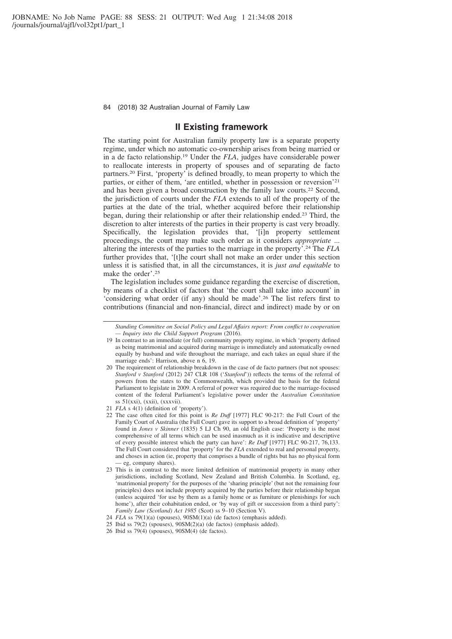### **II Existing framework**

The starting point for Australian family property law is a separate property regime, under which no automatic co-ownership arises from being married or in a de facto relationship.19 Under the *FLA*, judges have considerable power to reallocate interests in property of spouses and of separating de facto partners.20 First, 'property' is defined broadly, to mean property to which the parties, or either of them, 'are entitled, whether in possession or reversion'21 and has been given a broad construction by the family law courts.22 Second, the jurisdiction of courts under the *FLA* extends to all of the property of the parties at the date of the trial, whether acquired before their relationship began, during their relationship or after their relationship ended.23 Third, the discretion to alter interests of the parties in their property is cast very broadly. Specifically, the legislation provides that, '[i]n property settlement proceedings, the court may make such order as it considers *appropriate* ... altering the interests of the parties to the marriage in the property'.24 The *FLA* further provides that, '[t]he court shall not make an order under this section unless it is satisfied that, in all the circumstances, it is *just and equitable* to make the order'.25

The legislation includes some guidance regarding the exercise of discretion, by means of a checklist of factors that 'the court shall take into account' in 'considering what order (if any) should be made'.26 The list refers first to contributions (financial and non-financial, direct and indirect) made by or on

*Standing Committee on Social Policy and Legal Affairs report: From conflict to cooperation — Inquiry into the Child Support Program* (2016).

<sup>19</sup> In contrast to an immediate (or full) community property regime, in which 'property defined as being matrimonial and acquired during marriage is immediately and automatically owned equally by husband and wife throughout the marriage, and each takes an equal share if the marriage ends': Harrison, above n 6, 19.

<sup>20</sup> The requirement of relationship breakdown in the case of de facto partners (but not spouses: *Stanford v Stanford* (2012) 247 CLR 108 ('*Stanford*')) reflects the terms of the referral of powers from the states to the Commonwealth, which provided the basis for the federal Parliament to legislate in 2009. A referral of power was required due to the marriage-focused content of the federal Parliament's legislative power under the *Australian Constitution*  $ss 51(xxi), (xxii), (xxxvii).$ 

<sup>21</sup> *FLA* s 4(1) (definition of 'property').

<sup>22</sup> The case often cited for this point is *Re Duff* [1977] FLC 90-217: the Full Court of the Family Court of Australia (the Full Court) gave its support to a broad definition of 'property' found in *Jones v Skinner* (1835) 5 LJ Ch 90, an old English case: 'Property is the most comprehensive of all terms which can be used inasmuch as it is indicative and descriptive of every possible interest which the party can have': *Re Duff* [1977] FLC 90-217, 76,133. The Full Court considered that 'property' for the *FLA* extended to real and personal property, and choses in action (ie, property that comprises a bundle of rights but has no physical form — eg, company shares).

<sup>23</sup> This is in contrast to the more limited definition of matrimonial property in many other jurisdictions, including Scotland, New Zealand and British Columbia. In Scotland, eg, 'matrimonial property' for the purposes of the 'sharing principle' (but not the remaining four principles) does not include property acquired by the parties before their relationship began (unless acquired 'for use by them as a family home or as furniture or plenishings for such home'), after their cohabitation ended, or 'by way of gift or succession from a third party': *Family Law (Scotland) Act 1985* (Scot) ss  $9-10$  (Section V).

<sup>24</sup> *FLA* ss 79(1)(a) (spouses), 90SM(1)(a) (de factos) (emphasis added).

<sup>25</sup> Ibid ss 79(2) (spouses), 90SM(2)(a) (de factos) (emphasis added).

<sup>26</sup> Ibid ss 79(4) (spouses), 90SM(4) (de factos).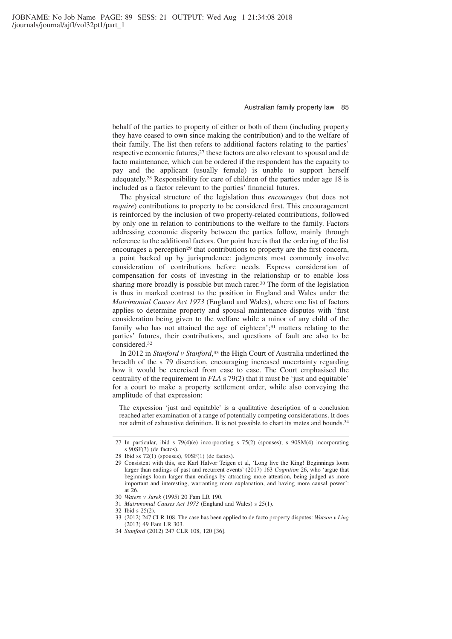behalf of the parties to property of either or both of them (including property they have ceased to own since making the contribution) and to the welfare of their family. The list then refers to additional factors relating to the parties' respective economic futures;27 these factors are also relevant to spousal and de facto maintenance, which can be ordered if the respondent has the capacity to pay and the applicant (usually female) is unable to support herself adequately.28 Responsibility for care of children of the parties under age 18 is included as a factor relevant to the parties' financial futures.

The physical structure of the legislation thus *encourages* (but does not *require*) contributions to property to be considered first. This encouragement is reinforced by the inclusion of two property-related contributions, followed by only one in relation to contributions to the welfare to the family. Factors addressing economic disparity between the parties follow, mainly through reference to the additional factors. Our point here is that the ordering of the list encourages a perception<sup>29</sup> that contributions to property are the first concern, a point backed up by jurisprudence: judgments most commonly involve consideration of contributions before needs. Express consideration of compensation for costs of investing in the relationship or to enable loss sharing more broadly is possible but much rarer.<sup>30</sup> The form of the legislation is thus in marked contrast to the position in England and Wales under the *Matrimonial Causes Act 1973* (England and Wales), where one list of factors applies to determine property and spousal maintenance disputes with 'first consideration being given to the welfare while a minor of any child of the family who has not attained the age of eighteen';<sup>31</sup> matters relating to the parties' futures, their contributions, and questions of fault are also to be considered.32

In 2012 in *Stanford v Stanford*, <sup>33</sup> the High Court of Australia underlined the breadth of the s 79 discretion, encouraging increased uncertainty regarding how it would be exercised from case to case. The Court emphasised the centrality of the requirement in *FLA* s 79(2) that it must be 'just and equitable' for a court to make a property settlement order, while also conveying the amplitude of that expression:

The expression 'just and equitable' is a qualitative description of a conclusion reached after examination of a range of potentially competing considerations. It does not admit of exhaustive definition. It is not possible to chart its metes and bounds.<sup>34</sup>

<sup>27</sup> In particular, ibid s 79(4)(e) incorporating s 75(2) (spouses); s 90SM(4) incorporating s 90SF(3) (de factos).

<sup>28</sup> Ibid ss 72(1) (spouses), 90SF(1) (de factos).

<sup>29</sup> Consistent with this, see Karl Halvor Teigen et al, 'Long live the King! Beginnings loom larger than endings of past and recurrent events' (2017) 163 *Cognition* 26, who 'argue that beginnings loom larger than endings by attracting more attention, being judged as more important and interesting, warranting more explanation, and having more causal power': at 26.

<sup>30</sup> *Waters v Jurek* (1995) 20 Fam LR 190.

<sup>31</sup> *Matrimonial Causes Act 1973* (England and Wales) s 25(1).

<sup>32</sup> Ibid s 25(2).

<sup>33 (2012) 247</sup> CLR 108. The case has been applied to de facto property disputes: *Watson v Ling* (2013) 49 Fam LR 303.

<sup>34</sup> *Stanford* (2012) 247 CLR 108, 120 [36].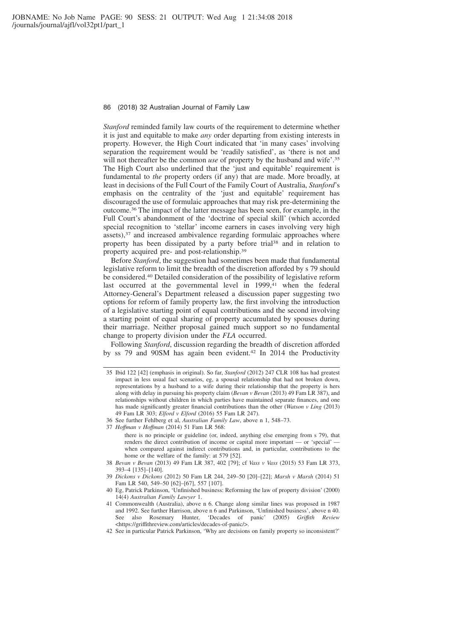*Stanford* reminded family law courts of the requirement to determine whether it is just and equitable to make *any* order departing from existing interests in property. However, the High Court indicated that 'in many cases' involving separation the requirement would be 'readily satisfied', as 'there is not and will not thereafter be the common *use* of property by the husband and wife'.<sup>35</sup> The High Court also underlined that the 'just and equitable' requirement is fundamental to *the* property orders (if any) that are made. More broadly, at least in decisions of the Full Court of the Family Court of Australia, *Stanford*'s emphasis on the centrality of the 'just and equitable' requirement has discouraged the use of formulaic approaches that may risk pre-determining the outcome.36 The impact of the latter message has been seen, for example, in the Full Court's abandonment of the 'doctrine of special skill' (which accorded special recognition to 'stellar' income earners in cases involving very high assets),<sup>37</sup> and increased ambivalence regarding formulaic approaches where property has been dissipated by a party before trial38 and in relation to property acquired pre- and post-relationship.39

Before *Stanford*, the suggestion had sometimes been made that fundamental legislative reform to limit the breadth of the discretion afforded by s 79 should be considered.40 Detailed consideration of the possibility of legislative reform last occurred at the governmental level in 1999,<sup>41</sup> when the federal Attorney-General's Department released a discussion paper suggesting two options for reform of family property law, the first involving the introduction of a legislative starting point of equal contributions and the second involving a starting point of equal sharing of property accumulated by spouses during their marriage. Neither proposal gained much support so no fundamental change to property division under the *FLA* occurred.

Following *Stanford*, discussion regarding the breadth of discretion afforded by ss 79 and 90SM has again been evident.42 In 2014 the Productivity

<sup>35</sup> Ibid 122 [42] (emphasis in original). So far, *Stanford* (2012) 247 CLR 108 has had greatest impact in less usual fact scenarios, eg, a spousal relationship that had not broken down, representations by a husband to a wife during their relationship that the property is hers along with delay in pursuing his property claim (*Bevan v Bevan* (2013) 49 Fam LR 387), and relationships without children in which parties have maintained separate finances, and one has made significantly greater financial contributions than the other (*Watson v Ling* (2013) 49 Fam LR 303; *Elford v Elford* (2016) 55 Fam LR 247).

<sup>36</sup> See further Fehlberg et al, *Australian Family Law*, above n 1, 548–73.

<sup>37</sup> *Hoffman v Hoffman* (2014) 51 Fam LR 568:

there is no principle or guideline (or, indeed, anything else emerging from s 79), that renders the direct contribution of income or capital more important — or 'special' when compared against indirect contributions and, in particular, contributions to the home or the welfare of the family: at 579 [52].

<sup>38</sup> *Bevan v Bevan* (2013) 49 Fam LR 387, 402 [79]; cf *Vass v Vass* (2015) 53 Fam LR 373, 393–4 [135]–[140].

<sup>39</sup> *Dickons v Dickons* (2012) 50 Fam LR 244, 249–50 [20]–[22]; *Marsh v Marsh* (2014) 51 Fam LR 540, 549–50 [62]–[67], 557 [107].

<sup>40</sup> Eg, Patrick Parkinson, 'Unfinished business: Reforming the law of property division' (2000) 14(4) *Australian Family Lawyer* 1.

<sup>41</sup> Commonwealth (Australia), above n 6. Change along similar lines was proposed in 1987 and 1992. See further Harrison, above n 6 and Parkinson, 'Unfinished business', above n 40. See also Rosemary Hunter, 'Decades of panic' (2005) *Griffıth Review* <https://griffithreview.com/articles/decades-of-panic/>.

<sup>42</sup> See in particular Patrick Parkinson, 'Why are decisions on family property so inconsistent?'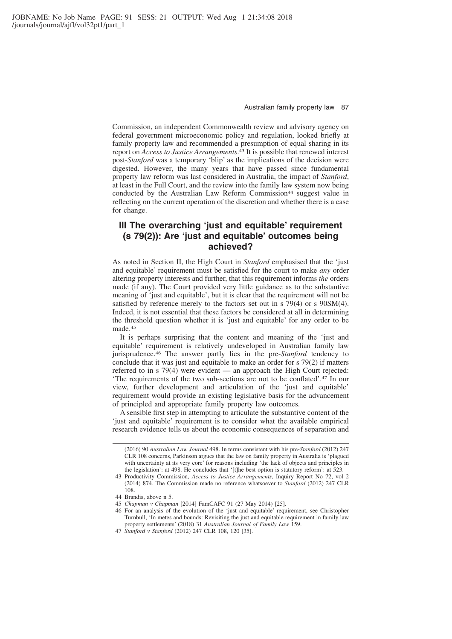Commission, an independent Commonwealth review and advisory agency on federal government microeconomic policy and regulation, looked briefly at family property law and recommended a presumption of equal sharing in its report on *Access to Justice Arrangements*. <sup>43</sup> It is possible that renewed interest post-*Stanford* was a temporary 'blip' as the implications of the decision were digested. However, the many years that have passed since fundamental property law reform was last considered in Australia, the impact of *Stanford*, at least in the Full Court, and the review into the family law system now being conducted by the Australian Law Reform Commission<sup>44</sup> suggest value in reflecting on the current operation of the discretion and whether there is a case for change.

# **III The overarching 'just and equitable' requirement (s 79(2)): Are 'just and equitable' outcomes being achieved?**

As noted in Section II, the High Court in *Stanford* emphasised that the 'just and equitable' requirement must be satisfied for the court to make *any* order altering property interests and further, that this requirement informs *the* orders made (if any). The Court provided very little guidance as to the substantive meaning of 'just and equitable', but it is clear that the requirement will not be satisfied by reference merely to the factors set out in s 79(4) or s 90SM(4). Indeed, it is not essential that these factors be considered at all in determining the threshold question whether it is 'just and equitable' for any order to be made.45

It is perhaps surprising that the content and meaning of the 'just and equitable' requirement is relatively undeveloped in Australian family law jurisprudence.46 The answer partly lies in the pre-*Stanford* tendency to conclude that it was just and equitable to make an order for s 79(2) if matters referred to in s 79(4) were evident — an approach the High Court rejected: 'The requirements of the two sub-sections are not to be conflated'.47 In our view, further development and articulation of the 'just and equitable' requirement would provide an existing legislative basis for the advancement of principled and appropriate family property law outcomes.

A sensible first step in attempting to articulate the substantive content of the 'just and equitable' requirement is to consider what the available empirical research evidence tells us about the economic consequences of separation and

<sup>(2016) 90</sup> *Australian Law Journal* 498. In terms consistent with his pre-*Stanford* (2012) 247 CLR 108 concerns, Parkinson argues that the law on family property in Australia is 'plagued with uncertainty at its very core' for reasons including 'the lack of objects and principles in the legislation': at 498. He concludes that '[t]he best option is statutory reform': at 523.

<sup>43</sup> Productivity Commission, *Access to Justice Arrangements*, Inquiry Report No 72, vol 2 (2014) 874. The Commission made no reference whatsoever to *Stanford* (2012) 247 CLR 108.

<sup>44</sup> Brandis, above n 5.

<sup>45</sup> *Chapman v Chapman* [2014] FamCAFC 91 (27 May 2014) [25].

<sup>46</sup> For an analysis of the evolution of the 'just and equitable' requirement, see Christopher Turnbull, 'In metes and bounds: Revisiting the just and equitable requirement in family law property settlements' (2018) 31 *Australian Journal of Family Law* 159.

<sup>47</sup> *Stanford v Stanford* (2012) 247 CLR 108, 120 [35].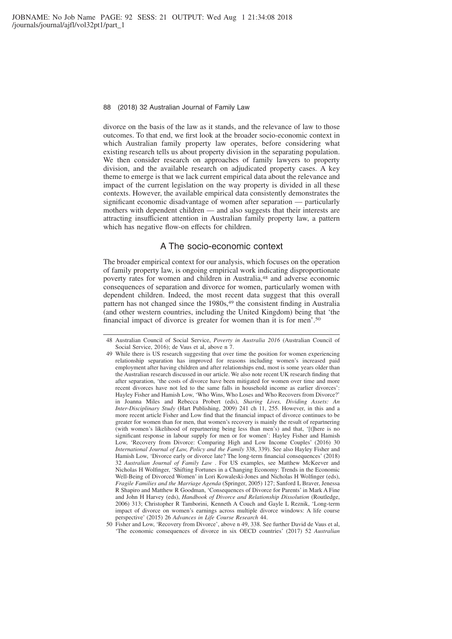divorce on the basis of the law as it stands, and the relevance of law to those outcomes. To that end, we first look at the broader socio-economic context in which Australian family property law operates, before considering what existing research tells us about property division in the separating population. We then consider research on approaches of family lawyers to property division, and the available research on adjudicated property cases. A key theme to emerge is that we lack current empirical data about the relevance and impact of the current legislation on the way property is divided in all these contexts. However, the available empirical data consistently demonstrates the significant economic disadvantage of women after separation — particularly mothers with dependent children — and also suggests that their interests are attracting insufficient attention in Australian family property law, a pattern which has negative flow-on effects for children.

### A The socio-economic context

The broader empirical context for our analysis, which focuses on the operation of family property law, is ongoing empirical work indicating disproportionate poverty rates for women and children in Australia,48 and adverse economic consequences of separation and divorce for women, particularly women with dependent children. Indeed, the most recent data suggest that this overall pattern has not changed since the 1980s,49 the consistent finding in Australia (and other western countries, including the United Kingdom) being that 'the financial impact of divorce is greater for women than it is for men'.50

<sup>48</sup> Australian Council of Social Service, *Poverty in Australia 2016* (Australian Council of Social Service, 2016); de Vaus et al, above n 7.

<sup>49</sup> While there is US research suggesting that over time the position for women experiencing relationship separation has improved for reasons including women's increased paid employment after having children and after relationships end, most is some years older than the Australian research discussed in our article. We also note recent UK research finding that after separation, 'the costs of divorce have been mitigated for women over time and more recent divorces have not led to the same falls in household income as earlier divorces': Hayley Fisher and Hamish Low, 'Who Wins, Who Loses and Who Recovers from Divorce?' in Joanna Miles and Rebecca Probert (eds), *Sharing Lives, Dividing Assets: An Inter-Disciplinary Study* (Hart Publishing, 2009) 241 ch 11, 255. However, in this and a more recent article Fisher and Low find that the financial impact of divorce continues to be greater for women than for men, that women's recovery is mainly the result of repartnering (with women's likelihood of repartnering being less than men's) and that, '[t]here is no significant response in labour supply for men or for women': Hayley Fisher and Hamish Low, 'Recovery from Divorce: Comparing High and Low Income Couples' (2016) 30 *International Journal of Law, Policy and the Family* 338, 339). See also Hayley Fisher and Hamish Low, 'Divorce early or divorce late? The long-term financial consequences' (2018) 32 *Australian Journal of Family Law* . For US examples, see Matthew McKeever and Nicholas H Wolfinger, 'Shifting Fortunes in a Changing Economy: Trends in the Economic Well-Being of Divorced Women' in Lori Kowaleski-Jones and Nicholas H Wolfinger (eds), *Fragile Families and the Marriage Agenda* (Springer, 2005) 127; Sanford L Braver, Jenessa R Shapiro and Matthew R Goodman, 'Consequences of Divorce for Parents' in Mark A Fine and John H Harvey (eds), *Handbook of Divorce and Relationship Dissolution* (Routledge, 2006) 313; Christopher R Tamborini, Kenneth A Couch and Gayle L Reznik, 'Long-term impact of divorce on women's earnings across multiple divorce windows: A life course perspective' (2015) 26 *Advances in Life Course Research* 44.

<sup>50</sup> Fisher and Low, 'Recovery from Divorce', above n 49, 338. See further David de Vaus et al, 'The economic consequences of divorce in six OECD countries' (2017) 52 *Australian*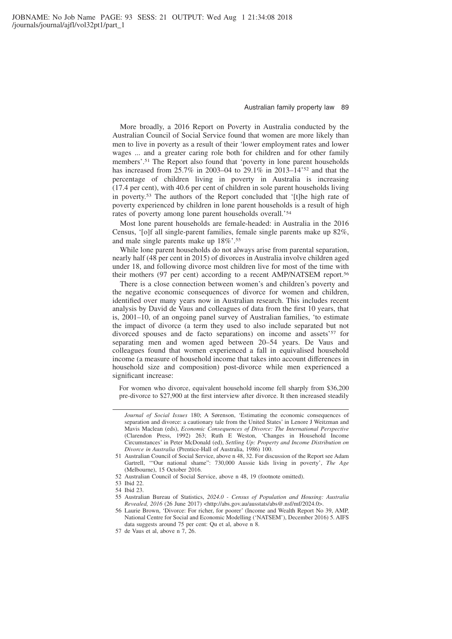More broadly, a 2016 Report on Poverty in Australia conducted by the Australian Council of Social Service found that women are more likely than men to live in poverty as a result of their 'lower employment rates and lower wages ... and a greater caring role both for children and for other family members'.51 The Report also found that 'poverty in lone parent households has increased from 25.7% in 2003–04 to 29.1% in 2013–14'52 and that the percentage of children living in poverty in Australia is increasing (17.4 per cent), with 40.6 per cent of children in sole parent households living in poverty.53 The authors of the Report concluded that '[t]he high rate of poverty experienced by children in lone parent households is a result of high rates of poverty among lone parent households overall.'54

Most lone parent households are female-headed: in Australia in the 2016 Census, '[o]f all single-parent families, female single parents make up 82%, and male single parents make up 18%'.55

While lone parent households do not always arise from parental separation, nearly half (48 per cent in 2015) of divorces in Australia involve children aged under 18, and following divorce most children live for most of the time with their mothers (97 per cent) according to a recent AMP/NATSEM report.56

There is a close connection between women's and children's poverty and the negative economic consequences of divorce for women and children, identified over many years now in Australian research. This includes recent analysis by David de Vaus and colleagues of data from the first 10 years, that is, 2001–10, of an ongoing panel survey of Australian families, 'to estimate the impact of divorce (a term they used to also include separated but not divorced spouses and de facto separations) on income and assets'<sup>57</sup> for separating men and women aged between 20–54 years. De Vaus and colleagues found that women experienced a fall in equivalised household income (a measure of household income that takes into account differences in household size and composition) post-divorce while men experienced a significant increase:

For women who divorce, equivalent household income fell sharply from \$36,200 pre-divorce to \$27,900 at the first interview after divorce. It then increased steadily

*Journal of Social Issues* 180; A Sørenson, 'Estimating the economic consequences of separation and divorce: a cautionary tale from the United States' in Lenore J Weitzman and Mavis Maclean (eds), *Economic Consequences of Divorce: The International Perspective* (Clarendon Press, 1992) 263; Ruth E Weston, 'Changes in Household Income Circumstances' in Peter McDonald (ed), *Settling Up: Property and Income Distribution on Divorce in Australia* (Prentice-Hall of Australia, 1986) 100.

<sup>51</sup> Australian Council of Social Service, above n 48, 32. For discussion of the Report see Adam Gartrell, '"Our national shame": 730,000 Aussie kids living in poverty', *The Age* (Melbourne), 15 October 2016.

<sup>52</sup> Australian Council of Social Service, above n 48, 19 (footnote omitted).

<sup>53</sup> Ibid 22.

<sup>54</sup> Ibid 23.

<sup>55</sup> Australian Bureau of Statistics, *2024.0 - Census of Population and Housing: Australia Revealed, 2016* (26 June 2017) <http://abs.gov.au/ausstats/abs@.nsf/mf/2024.0>.

<sup>56</sup> Laurie Brown, 'Divorce: For richer, for poorer' (Income and Wealth Report No 39, AMP, National Centre for Social and Economic Modelling ('NATSEM'), December 2016) 5. AIFS data suggests around 75 per cent: Qu et al, above n 8.

<sup>57</sup> de Vaus et al, above n 7, 26.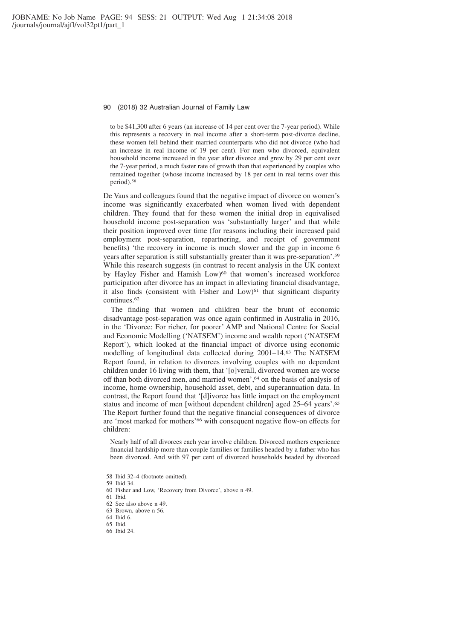to be \$41,300 after 6 years (an increase of 14 per cent over the 7-year period). While this represents a recovery in real income after a short-term post-divorce decline, these women fell behind their married counterparts who did not divorce (who had an increase in real income of 19 per cent). For men who divorced, equivalent household income increased in the year after divorce and grew by 29 per cent over the 7-year period, a much faster rate of growth than that experienced by couples who remained together (whose income increased by 18 per cent in real terms over this period).58

De Vaus and colleagues found that the negative impact of divorce on women's income was significantly exacerbated when women lived with dependent children. They found that for these women the initial drop in equivalised household income post-separation was 'substantially larger' and that while their position improved over time (for reasons including their increased paid employment post-separation, repartnering, and receipt of government benefits) 'the recovery in income is much slower and the gap in income 6 years after separation is still substantially greater than it was pre-separation'.59 While this research suggests (in contrast to recent analysis in the UK context by Hayley Fisher and Hamish Low)<sup>60</sup> that women's increased workforce participation after divorce has an impact in alleviating financial disadvantage, it also finds (consistent with Fisher and Low)<sup>61</sup> that significant disparity continues.62

The finding that women and children bear the brunt of economic disadvantage post-separation was once again confirmed in Australia in 2016, in the 'Divorce: For richer, for poorer' AMP and National Centre for Social and Economic Modelling ('NATSEM') income and wealth report ('NATSEM Report'), which looked at the financial impact of divorce using economic modelling of longitudinal data collected during 2001–14.63 The NATSEM Report found, in relation to divorces involving couples with no dependent children under 16 living with them, that '[o]verall, divorced women are worse off than both divorced men, and married women',64 on the basis of analysis of income, home ownership, household asset, debt, and superannuation data. In contrast, the Report found that '[d]ivorce has little impact on the employment status and income of men [without dependent children] aged 25–64 years'.65 The Report further found that the negative financial consequences of divorce are 'most marked for mothers'66 with consequent negative flow-on effects for children:

Nearly half of all divorces each year involve children. Divorced mothers experience financial hardship more than couple families or families headed by a father who has been divorced. And with 97 per cent of divorced households headed by divorced

<sup>58</sup> Ibid 32–4 (footnote omitted).

<sup>59</sup> Ibid 34.

<sup>60</sup> Fisher and Low, 'Recovery from Divorce', above n 49.

<sup>61</sup> Ibid.

<sup>62</sup> See also above n 49.

<sup>63</sup> Brown, above n 56.

<sup>64</sup> Ibid 6.

<sup>65</sup> Ibid.

<sup>66</sup> Ibid 24.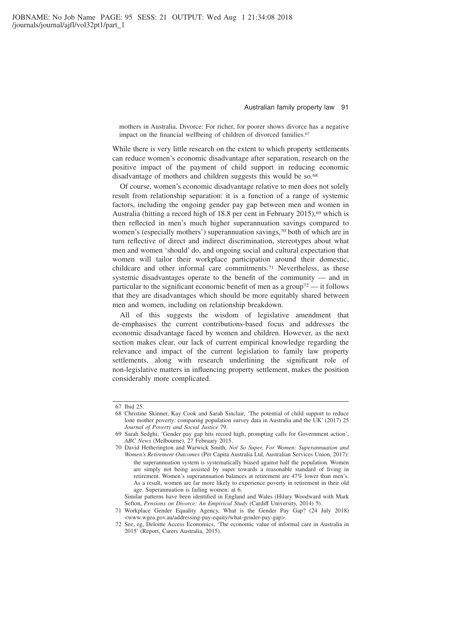mothers in Australia, Divorce: For richer, for poorer shows divorce has a negative impact on the financial wellbeing of children of divorced families.<sup>67</sup>

While there is very little research on the extent to which property settlements can reduce women's economic disadvantage after separation, research on the positive impact of the payment of child support in reducing economic disadvantage of mothers and children suggests this would be so.<sup>68</sup>

Of course, women's economic disadvantage relative to men does not solely result from relationship separation: it is a function of a range of systemic factors, including the ongoing gender pay gap between men and women in Australia (hitting a record high of 18.8 per cent in February 2015),  $69$  which is then reflected in men's much higher superannuation savings compared to women's (especially mothers') superannuation savings,<sup>70</sup> both of which are in turn reflective of direct and indirect discrimination, stereotypes about what men and women 'should' do, and ongoing social and cultural expectation that women will tailor their workplace participation around their domestic, childcare and other informal care commitments.71 Nevertheless, as these systemic disadvantages operate to the benefit of the community — and in particular to the significant economic benefit of men as a group<sup>72</sup> — it follows that they are disadvantages which should be more equitably shared between men and women, including on relationship breakdown.

All of this suggests the wisdom of legislative amendment that de-emphasises the current contributions-based focus and addresses the economic disadvantage faced by women and children. However, as the next section makes clear, our lack of current empirical knowledge regarding the relevance and impact of the current legislation to family law property settlements, along with research underlining the significant role of non-legislative matters in influencing property settlement, makes the position considerably more complicated.

<sup>67</sup> Ibid 25.

<sup>68</sup> Christine Skinner, Kay Cook and Sarah Sinclair, 'The potential of child support to reduce lone mother poverty: comparing population survey data in Australia and the UK' (2017) 25 *Journal of Poverty and Social Justice* 79.

<sup>69</sup> Sarah Sedghi, 'Gender pay gap hits record high, prompting calls for Government action', *ABC News* (Melbourne), 27 February 2015.

<sup>70</sup> David Hetherington and Warwick Smith, *Not So Super, For Women: Superannuation and Women's Retirement Outcomes* (Per Capita Australia Ltd, Australian Services Union, 2017): the superannuation system is systematically biased against half the population. Women are simply not being assisted by super towards a reasonable standard of living in retirement. Women's superannuation balances at retirement are 47% lower than men's. As a result, women are far more likely to experience poverty in retirement in their old age. Superannuation is failing women: at 6.

Similar patterns have been identified in England and Wales (Hilary Woodward with Mark Sefton, *Pensions on Divorce: An Empirical Study* (Cardiff University, 2014) 5).

<sup>71</sup> Workplace Gender Equality Agency, What is the Gender Pay Gap? (24 July 2018) <www.wgea.gov.au/addressing-pay-equity/what-gender-pay-gap>.

<sup>72</sup> See, eg, Deloitte Access Economics, 'The economic value of informal care in Australia in 2015' (Report, Carers Australia, 2015).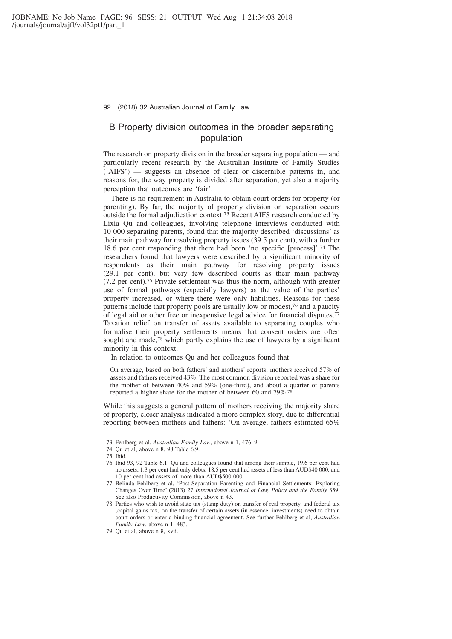# B Property division outcomes in the broader separating population

The research on property division in the broader separating population — and particularly recent research by the Australian Institute of Family Studies ('AIFS') — suggests an absence of clear or discernible patterns in, and reasons for, the way property is divided after separation, yet also a majority perception that outcomes are 'fair'.

There is no requirement in Australia to obtain court orders for property (or parenting). By far, the majority of property division on separation occurs outside the formal adjudication context.73 Recent AIFS research conducted by Lixia Qu and colleagues, involving telephone interviews conducted with 10 000 separating parents, found that the majority described 'discussions' as their main pathway for resolving property issues (39.5 per cent), with a further 18.6 per cent responding that there had been 'no specific [process]'.74 The researchers found that lawyers were described by a significant minority of respondents as their main pathway for resolving property issues (29.1 per cent), but very few described courts as their main pathway (7.2 per cent).75 Private settlement was thus the norm, although with greater use of formal pathways (especially lawyers) as the value of the parties' property increased, or where there were only liabilities. Reasons for these patterns include that property pools are usually low or modest,76 and a paucity of legal aid or other free or inexpensive legal advice for financial disputes.77 Taxation relief on transfer of assets available to separating couples who formalise their property settlements means that consent orders are often sought and made,<sup>78</sup> which partly explains the use of lawyers by a significant minority in this context.

In relation to outcomes Qu and her colleagues found that:

On average, based on both fathers' and mothers' reports, mothers received 57% of assets and fathers received 43%. The most common division reported was a share for the mother of between 40% and 59% (one-third), and about a quarter of parents reported a higher share for the mother of between 60 and 79%.79

While this suggests a general pattern of mothers receiving the majority share of property, closer analysis indicated a more complex story, due to differential reporting between mothers and fathers: 'On average, fathers estimated 65%

<sup>73</sup> Fehlberg et al, *Australian Family Law*, above n 1, 476–9.

<sup>74</sup> Qu et al, above n 8, 98 Table 6.9.

<sup>75</sup> Ibid.

<sup>76</sup> Ibid 93, 92 Table 6.1: Qu and colleagues found that among their sample, 19.6 per cent had no assets, 1.3 per cent had only debts, 18.5 per cent had assets of less than AUD\$40 000, and 10 per cent had assets of more than AUD\$500 000.

<sup>77</sup> Belinda Fehlberg et al, 'Post-Separation Parenting and Financial Settlements: Exploring Changes Over Time' (2013) 27 *International Journal of Law, Policy and the Family* 359. See also Productivity Commission, above n 43.

<sup>78</sup> Parties who wish to avoid state tax (stamp duty) on transfer of real property, and federal tax (capital gains tax) on the transfer of certain assets (in essence, investments) need to obtain court orders or enter a binding financial agreement. See further Fehlberg et al, *Australian Family Law*, above n 1, 483.

<sup>79</sup> Qu et al, above n 8, xvii.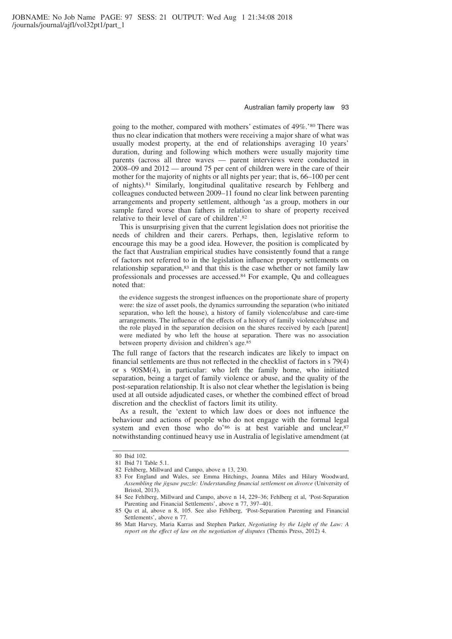going to the mother, compared with mothers' estimates of 49%.'80 There was thus no clear indication that mothers were receiving a major share of what was usually modest property, at the end of relationships averaging 10 years' duration, during and following which mothers were usually majority time parents (across all three waves — parent interviews were conducted in 2008–09 and 2012 — around 75 per cent of children were in the care of their mother for the majority of nights or all nights per year; that is, 66–100 per cent of nights).81 Similarly, longitudinal qualitative research by Fehlberg and colleagues conducted between 2009–11 found no clear link between parenting arrangements and property settlement, although 'as a group, mothers in our sample fared worse than fathers in relation to share of property received relative to their level of care of children'.82

This is unsurprising given that the current legislation does not prioritise the needs of children and their carers. Perhaps, then, legislative reform to encourage this may be a good idea. However, the position is complicated by the fact that Australian empirical studies have consistently found that a range of factors not referred to in the legislation influence property settlements on relationship separation,<sup>83</sup> and that this is the case whether or not family law professionals and processes are accessed.84 For example, Qu and colleagues noted that:

the evidence suggests the strongest influences on the proportionate share of property were: the size of asset pools, the dynamics surrounding the separation (who initiated separation, who left the house), a history of family violence/abuse and care-time arrangements. The influence of the effects of a history of family violence/abuse and the role played in the separation decision on the shares received by each [parent] were mediated by who left the house at separation. There was no association between property division and children's age.85

The full range of factors that the research indicates are likely to impact on financial settlements are thus not reflected in the checklist of factors in s 79(4) or s 90SM(4), in particular: who left the family home, who initiated separation, being a target of family violence or abuse, and the quality of the post-separation relationship. It is also not clear whether the legislation is being used at all outside adjudicated cases, or whether the combined effect of broad discretion and the checklist of factors limit its utility.

As a result, the 'extent to which law does or does not influence the behaviour and actions of people who do not engage with the formal legal system and even those who do'<sup>86</sup> is at best variable and unclear,<sup>87</sup> notwithstanding continued heavy use in Australia of legislative amendment (at

<sup>80</sup> Ibid 102.

<sup>81</sup> Ibid 71 Table 5.1.

<sup>82</sup> Fehlberg, Millward and Campo, above n 13, 230.

<sup>83</sup> For England and Wales, see Emma Hitchings, Joanna Miles and Hilary Woodward, *Assembling the jigsaw puzzle: Understanding financial settlement on divorce* (University of Bristol, 2013).

<sup>84</sup> See Fehlberg, Millward and Campo, above n 14, 229–36; Fehlberg et al, 'Post-Separation Parenting and Financial Settlements', above n 77, 397–401.

<sup>85</sup> Qu et al, above n 8, 105. See also Fehlberg, 'Post-Separation Parenting and Financial Settlements', above n 77.

<sup>86</sup> Matt Harvey, Maria Karras and Stephen Parker, *Negotiating by the Light of the Law: A report on the effect of law on the negotiation of disputes* (Themis Press, 2012) 4.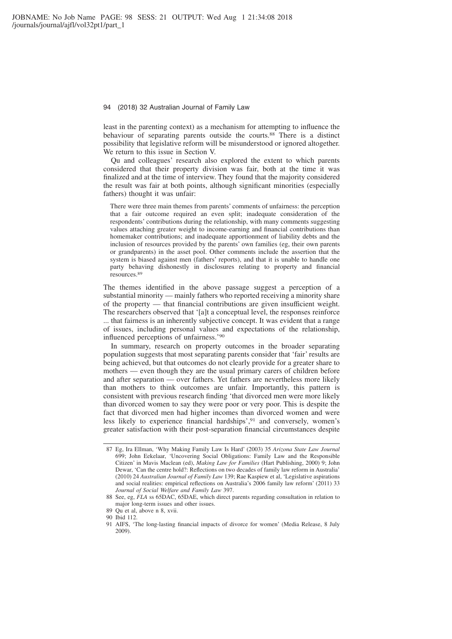least in the parenting context) as a mechanism for attempting to influence the behaviour of separating parents outside the courts.88 There is a distinct possibility that legislative reform will be misunderstood or ignored altogether. We return to this issue in Section V.

Qu and colleagues' research also explored the extent to which parents considered that their property division was fair, both at the time it was finalized and at the time of interview. They found that the majority considered the result was fair at both points, although significant minorities (especially fathers) thought it was unfair:

There were three main themes from parents' comments of unfairness: the perception that a fair outcome required an even split; inadequate consideration of the respondents' contributions during the relationship, with many comments suggesting values attaching greater weight to income-earning and financial contributions than homemaker contributions; and inadequate apportionment of liability debts and the inclusion of resources provided by the parents' own families (eg, their own parents or grandparents) in the asset pool. Other comments include the assertion that the system is biased against men (fathers' reports), and that it is unable to handle one party behaving dishonestly in disclosures relating to property and financial resources.89

The themes identified in the above passage suggest a perception of a substantial minority — mainly fathers who reported receiving a minority share of the property — that financial contributions are given insufficient weight. The researchers observed that '[a]t a conceptual level, the responses reinforce ... that fairness is an inherently subjective concept. It was evident that a range of issues, including personal values and expectations of the relationship, influenced perceptions of unfairness.'90

In summary, research on property outcomes in the broader separating population suggests that most separating parents consider that 'fair' results are being achieved, but that outcomes do not clearly provide for a greater share to mothers — even though they are the usual primary carers of children before and after separation — over fathers. Yet fathers are nevertheless more likely than mothers to think outcomes are unfair. Importantly, this pattern is consistent with previous research finding 'that divorced men were more likely than divorced women to say they were poor or very poor. This is despite the fact that divorced men had higher incomes than divorced women and were less likely to experience financial hardships',91 and conversely, women's greater satisfaction with their post-separation financial circumstances despite

<sup>87</sup> Eg, Ira Ellman, 'Why Making Family Law Is Hard' (2003) 35 *Arizona State Law Journal* 699; John Eekelaar, 'Uncovering Social Obligations: Family Law and the Responsible Citizen' in Mavis Maclean (ed), *Making Law for Families* (Hart Publishing, 2000) 9; John Dewar, 'Can the centre hold?: Reflections on two decades of family law reform in Australia' (2010) 24 *Australian Journal of Family Law* 139; Rae Kaspiew et al, 'Legislative aspirations and social realities: empirical reflections on Australia's 2006 family law reform' (2011) 33 *Journal of Social Welfare and Family Law* 397.

<sup>88</sup> See, eg, *FLA* ss 65DAC, 65DAE, which direct parents regarding consultation in relation to major long-term issues and other issues.

<sup>89</sup> Qu et al, above n 8, xvii.

<sup>90</sup> Ibid 112.

<sup>91</sup> AIFS, 'The long-lasting financial impacts of divorce for women' (Media Release, 8 July 2009).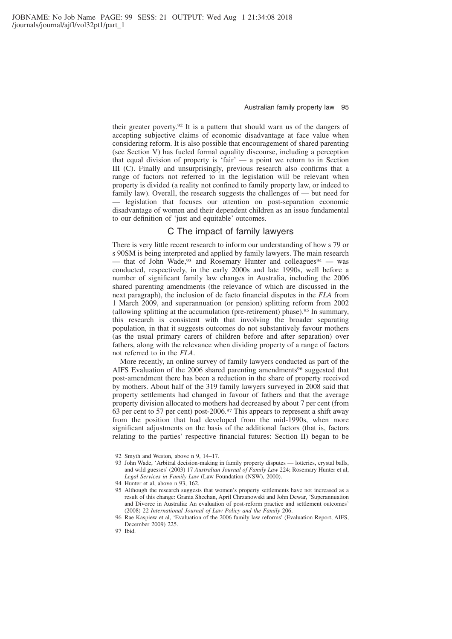their greater poverty.92 It is a pattern that should warn us of the dangers of accepting subjective claims of economic disadvantage at face value when considering reform. It is also possible that encouragement of shared parenting (see Section V) has fueled formal equality discourse, including a perception that equal division of property is 'fair' — a point we return to in Section III (C). Finally and unsurprisingly, previous research also confirms that a range of factors not referred to in the legislation will be relevant when property is divided (a reality not confined to family property law, or indeed to family law). Overall, the research suggests the challenges of — but need for - legislation that focuses our attention on post-separation economic disadvantage of women and their dependent children as an issue fundamental to our definition of 'just and equitable' outcomes.

### C The impact of family lawyers

There is very little recent research to inform our understanding of how s 79 or s 90SM is being interpreted and applied by family lawyers. The main research — that of John Wade,  $93$  and Rosemary Hunter and colleagues  $94 -$  was conducted, respectively, in the early 2000s and late 1990s, well before a number of significant family law changes in Australia, including the 2006 shared parenting amendments (the relevance of which are discussed in the next paragraph), the inclusion of de facto financial disputes in the *FLA* from 1 March 2009, and superannuation (or pension) splitting reform from 2002 (allowing splitting at the accumulation (pre-retirement) phase).95 In summary, this research is consistent with that involving the broader separating population, in that it suggests outcomes do not substantively favour mothers (as the usual primary carers of children before and after separation) over fathers, along with the relevance when dividing property of a range of factors not referred to in the *FLA*.

More recently, an online survey of family lawyers conducted as part of the AIFS Evaluation of the 2006 shared parenting amendments<sup>96</sup> suggested that post-amendment there has been a reduction in the share of property received by mothers. About half of the 319 family lawyers surveyed in 2008 said that property settlements had changed in favour of fathers and that the average property division allocated to mothers had decreased by about 7 per cent (from 63 per cent to 57 per cent) post-2006.97 This appears to represent a shift away from the position that had developed from the mid-1990s, when more significant adjustments on the basis of the additional factors (that is, factors relating to the parties' respective financial futures: Section II) began to be

<sup>92</sup> Smyth and Weston, above n 9, 14–17.

<sup>93</sup> John Wade, 'Arbitral decision-making in family property disputes — lotteries, crystal balls, and wild guesses' (2003) 17 *Australian Journal of Family Law* 224; Rosemary Hunter et al, *Legal Services in Family Law* (Law Foundation (NSW), 2000).

<sup>94</sup> Hunter et al, above n 93, 162.

<sup>95</sup> Although the research suggests that women's property settlements have not increased as a result of this change: Grania Sheehan, April Chrzanowski and John Dewar, 'Superannuation and Divorce in Australia: An evaluation of post-reform practice and settlement outcomes' (2008) 22 *International Journal of Law Policy and the Family* 206.

<sup>96</sup> Rae Kaspiew et al, 'Evaluation of the 2006 family law reforms' (Evaluation Report, AIFS, December 2009) 225.

<sup>97</sup> Ibid.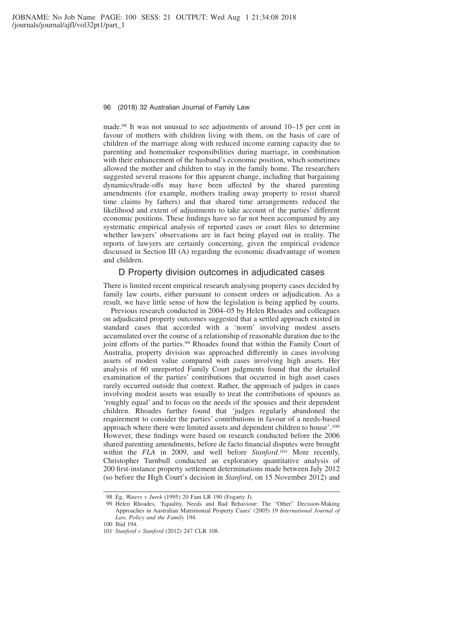made.98 It was not unusual to see adjustments of around 10–15 per cent in favour of mothers with children living with them, on the basis of care of children of the marriage along with reduced income earning capacity due to parenting and homemaker responsibilities during marriage, in combination with their enhancement of the husband's economic position, which sometimes allowed the mother and children to stay in the family home. The researchers suggested several reasons for this apparent change, including that bargaining dynamics/trade-offs may have been affected by the shared parenting amendments (for example, mothers trading away property to resist shared time claims by fathers) and that shared time arrangements reduced the likelihood and extent of adjustments to take account of the parties' different economic positions. These findings have so far not been accompanied by any systematic empirical analysis of reported cases or court files to determine whether lawyers' observations are in fact being played out in reality. The reports of lawyers are certainly concerning, given the empirical evidence discussed in Section III (A) regarding the economic disadvantage of women and children.

### D Property division outcomes in adjudicated cases

There is limited recent empirical research analysing property cases decided by family law courts, either pursuant to consent orders or adjudication. As a result, we have little sense of how the legislation is being applied by courts.

Previous research conducted in 2004–05 by Helen Rhoades and colleagues on adjudicated property outcomes suggested that a settled approach existed in standard cases that accorded with a 'norm' involving modest assets accumulated over the course of a relationship of reasonable duration due to the joint efforts of the parties.<sup>99</sup> Rhoades found that within the Family Court of Australia, property division was approached differently in cases involving assets of modest value compared with cases involving high assets. Her analysis of 60 unreported Family Court judgments found that the detailed examination of the parties' contributions that occurred in high asset cases rarely occurred outside that context. Rather, the approach of judges in cases involving modest assets was usually to treat the contributions of spouses as 'roughly equal' and to focus on the needs of the spouses and their dependent children. Rhoades further found that 'judges regularly abandoned the requirement to consider the parties' contributions in favour of a needs-based approach where there were limited assets and dependent children to house'.100 However, these findings were based on research conducted before the 2006 shared parenting amendments, before de facto financial disputes were brought within the *FLA* in 2009, and well before *Stanford*. <sup>101</sup> More recently, Christopher Turnbull conducted an exploratory quantitative analysis of 200 first-instance property settlement determinations made between July 2012 (so before the High Court's decision in *Stanford*, on 15 November 2012) and

<sup>98</sup> Eg, *Waters v Jurek* (1995) 20 Fam LR 190 (Fogarty J).

<sup>99</sup> Helen Rhoades, 'Equality, Needs and Bad Behaviour: The "Other" Decision-Making Approaches in Australian Matrimonial Property Cases' (2005) 19 *International Journal of Law, Policy and the Family* 194.

<sup>100</sup> Ibid 194.

<sup>101</sup> *Stanford v Stanford* (2012) 247 CLR 108.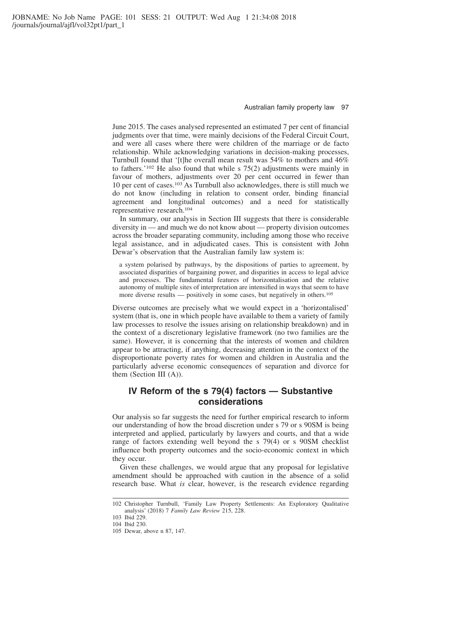June 2015. The cases analysed represented an estimated 7 per cent of financial judgments over that time, were mainly decisions of the Federal Circuit Court, and were all cases where there were children of the marriage or de facto relationship. While acknowledging variations in decision-making processes, Turnbull found that '[t]he overall mean result was 54% to mothers and 46% to fathers.'102 He also found that while s 75(2) adjustments were mainly in favour of mothers, adjustments over 20 per cent occurred in fewer than 10 per cent of cases.103 As Turnbull also acknowledges, there is still much we do not know (including in relation to consent order, binding financial agreement and longitudinal outcomes) and a need for statistically representative research.104

In summary, our analysis in Section III suggests that there is considerable diversity in — and much we do not know about — property division outcomes across the broader separating community, including among those who receive legal assistance, and in adjudicated cases. This is consistent with John Dewar's observation that the Australian family law system is:

a system polarised by pathways, by the dispositions of parties to agreement, by associated disparities of bargaining power, and disparities in access to legal advice and processes. The fundamental features of horizontalisation and the relative autonomy of multiple sites of interpretation are intensified in ways that seem to have more diverse results — positively in some cases, but negatively in others.105

Diverse outcomes are precisely what we would expect in a 'horizontalised' system (that is, one in which people have available to them a variety of family law processes to resolve the issues arising on relationship breakdown) and in the context of a discretionary legislative framework (no two families are the same). However, it is concerning that the interests of women and children appear to be attracting, if anything, decreasing attention in the context of the disproportionate poverty rates for women and children in Australia and the particularly adverse economic consequences of separation and divorce for them (Section III (A)).

# **IV Reform of the s 79(4) factors — Substantive considerations**

Our analysis so far suggests the need for further empirical research to inform our understanding of how the broad discretion under s 79 or s 90SM is being interpreted and applied, particularly by lawyers and courts, and that a wide range of factors extending well beyond the s 79(4) or s 90SM checklist influence both property outcomes and the socio-economic context in which they occur.

Given these challenges, we would argue that any proposal for legislative amendment should be approached with caution in the absence of a solid research base. What *is* clear, however, is the research evidence regarding

<sup>102</sup> Christopher Turnbull, 'Family Law Property Settlements: An Exploratory Qualitative analysis' (2018) 7 *Family Law Review* 215, 228.

<sup>103</sup> Ibid 229.

<sup>104</sup> Ibid 230.

<sup>105</sup> Dewar, above n 87, 147.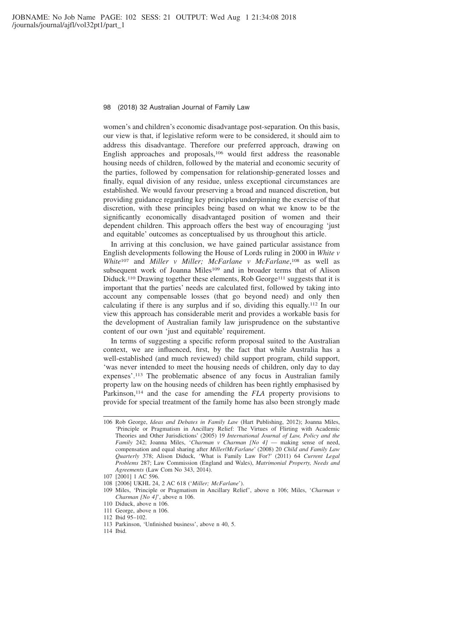women's and children's economic disadvantage post-separation. On this basis, our view is that, if legislative reform were to be considered, it should aim to address this disadvantage. Therefore our preferred approach, drawing on English approaches and proposals,106 would first address the reasonable housing needs of children, followed by the material and economic security of the parties, followed by compensation for relationship-generated losses and finally, equal division of any residue, unless exceptional circumstances are established. We would favour preserving a broad and nuanced discretion, but providing guidance regarding key principles underpinning the exercise of that discretion, with these principles being based on what we know to be the significantly economically disadvantaged position of women and their dependent children. This approach offers the best way of encouraging 'just and equitable' outcomes as conceptualised by us throughout this article.

In arriving at this conclusion, we have gained particular assistance from English developments following the House of Lords ruling in 2000 in *White v White*<sup>107</sup> and *Miller v Miller; McFarlane v McFarlane*, <sup>108</sup> as well as subsequent work of Joanna Miles<sup>109</sup> and in broader terms that of Alison Diduck.<sup>110</sup> Drawing together these elements, Rob George<sup>111</sup> suggests that it is important that the parties' needs are calculated first, followed by taking into account any compensable losses (that go beyond need) and only then calculating if there is any surplus and if so, dividing this equally.112 In our view this approach has considerable merit and provides a workable basis for the development of Australian family law jurisprudence on the substantive content of our own 'just and equitable' requirement.

In terms of suggesting a specific reform proposal suited to the Australian context, we are influenced, first, by the fact that while Australia has a well-established (and much reviewed) child support program, child support, 'was never intended to meet the housing needs of children, only day to day expenses'.113 The problematic absence of any focus in Australian family property law on the housing needs of children has been rightly emphasised by Parkinson,<sup>114</sup> and the case for amending the *FLA* property provisions to provide for special treatment of the family home has also been strongly made

- 109 Miles, 'Principle or Pragmatism in Ancillary Relief', above n 106; Miles, '*Charman v Charman [No 4]*', above n 106.
- 110 Diduck, above n 106.
- 111 George, above n 106.

113 Parkinson, 'Unfinished business', above n 40, 5.

<sup>106</sup> Rob George, *Ideas and Debates in Family Law* (Hart Publishing, 2012); Joanna Miles, 'Principle or Pragmatism in Ancillary Relief: The Virtues of Flirting with Academic Theories and Other Jurisdictions' (2005) 19 *International Journal of Law, Policy and the Family* 242; Joanna Miles, '*Charman v Charman [No 4]* — making sense of need, compensation and equal sharing after *Miller*/*McFarlane*' (2008) 20 *Child and Family Law Quarterly* 378; Alison Diduck, 'What is Family Law For?' (2011) 64 *Current Legal Problems* 287; Law Commission (England and Wales), *Matrimonial Property, Needs and Agreements* (Law Com No 343, 2014).

<sup>107 [2001] 1</sup> AC 596.

<sup>108 [2006]</sup> UKHL 24, 2 AC 618 ('*Miller; McFarlane*').

<sup>112</sup> Ibid 95–102.

<sup>114</sup> Ibid.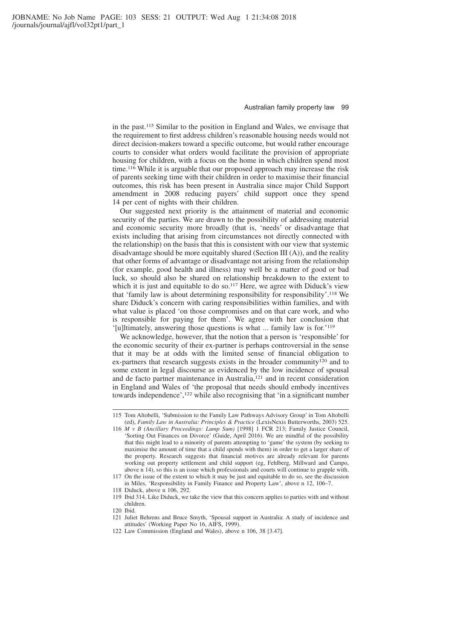in the past.115 Similar to the position in England and Wales, we envisage that the requirement to first address children's reasonable housing needs would not direct decision-makers toward a specific outcome, but would rather encourage courts to consider what orders would facilitate the provision of appropriate housing for children, with a focus on the home in which children spend most time.116 While it is arguable that our proposed approach may increase the risk of parents seeking time with their children in order to maximise their financial outcomes, this risk has been present in Australia since major Child Support amendment in 2008 reducing payers' child support once they spend 14 per cent of nights with their children.

Our suggested next priority is the attainment of material and economic security of the parties. We are drawn to the possibility of addressing material and economic security more broadly (that is, 'needs' or disadvantage that exists including that arising from circumstances not directly connected with the relationship) on the basis that this is consistent with our view that systemic disadvantage should be more equitably shared (Section III (A)), and the reality that other forms of advantage or disadvantage not arising from the relationship (for example, good health and illness) may well be a matter of good or bad luck, so should also be shared on relationship breakdown to the extent to which it is just and equitable to do so.<sup>117</sup> Here, we agree with Diduck's view that 'family law is about determining responsibility for responsibility'.118 We share Diduck's concern with caring responsibilities within families, and with what value is placed 'on those compromises and on that care work, and who is responsible for paying for them'. We agree with her conclusion that '[u]ltimately, answering those questions is what ... family law is for.'119

We acknowledge, however, that the notion that a person is 'responsible' for the economic security of their ex-partner is perhaps controversial in the sense that it may be at odds with the limited sense of financial obligation to ex-partners that research suggests exists in the broader community<sup>120</sup> and to some extent in legal discourse as evidenced by the low incidence of spousal and de facto partner maintenance in Australia,<sup>121</sup> and in recent consideration in England and Wales of 'the proposal that needs should embody incentives towards independence',122 while also recognising that 'in a significant number

<sup>115</sup> Tom Altobelli, 'Submission to the Family Law Pathways Advisory Group' in Tom Altobelli (ed), *Family Law in Australia: Principles & Practice* (LexisNexis Butterworths, 2003) 525.

<sup>116</sup> *M v B (Ancillary Proceedings: Lump Sum)* [1998] 1 FCR 213; Family Justice Council, 'Sorting Out Finances on Divorce' (Guide, April 2016). We are mindful of the possibility that this might lead to a minority of parents attempting to 'game' the system (by seeking to maximise the amount of time that a child spends with them) in order to get a larger share of the property. Research suggests that financial motives are already relevant for parents working out property settlement and child support (eg, Fehlberg, Millward and Campo, above n 14), so this is an issue which professionals and courts will continue to grapple with. 117 On the issue of the extent to which it may be just and equitable to do so, see the discussion

in Miles, 'Responsibility in Family Finance and Property Law', above n 12, 106–7.

<sup>118</sup> Diduck, above n 106, 292.

<sup>119</sup> Ibid 314. Like Diduck, we take the view that this concern applies to parties with and without children.

<sup>120</sup> Ibid.

<sup>121</sup> Juliet Behrens and Bruce Smyth, 'Spousal support in Australia: A study of incidence and attitudes' (Working Paper No 16, AIFS, 1999).

<sup>122</sup> Law Commission (England and Wales), above n 106, 38 [3.47].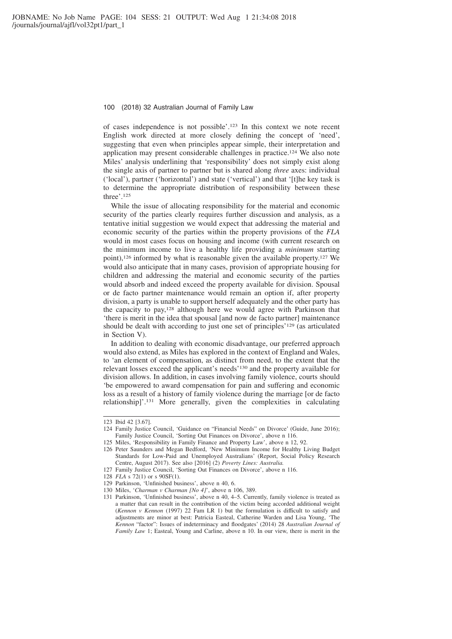of cases independence is not possible'.123 In this context we note recent English work directed at more closely defining the concept of 'need', suggesting that even when principles appear simple, their interpretation and application may present considerable challenges in practice.124 We also note Miles' analysis underlining that 'responsibility' does not simply exist along the single axis of partner to partner but is shared along *three* axes: individual ('local'), partner ('horizontal') and state ('vertical') and that '[t]he key task is to determine the appropriate distribution of responsibility between these three'.125

While the issue of allocating responsibility for the material and economic security of the parties clearly requires further discussion and analysis, as a tentative initial suggestion we would expect that addressing the material and economic security of the parties within the property provisions of the *FLA* would in most cases focus on housing and income (with current research on the minimum income to live a healthy life providing a *minimum* starting point),126 informed by what is reasonable given the available property.127 We would also anticipate that in many cases, provision of appropriate housing for children and addressing the material and economic security of the parties would absorb and indeed exceed the property available for division. Spousal or de facto partner maintenance would remain an option if, after property division, a party is unable to support herself adequately and the other party has the capacity to pay,128 although here we would agree with Parkinson that 'there is merit in the idea that spousal [and now de facto partner] maintenance should be dealt with according to just one set of principles'129 (as articulated in Section V).

In addition to dealing with economic disadvantage, our preferred approach would also extend, as Miles has explored in the context of England and Wales, to 'an element of compensation, as distinct from need, to the extent that the relevant losses exceed the applicant's needs'130 and the property available for division allows. In addition, in cases involving family violence, courts should 'be empowered to award compensation for pain and suffering and economic loss as a result of a history of family violence during the marriage [or de facto relationship]'.131 More generally, given the complexities in calculating

125 Miles, 'Responsibility in Family Finance and Property Law', above n 12, 92.

- 128 *FLA* s 72(1) or s 90SF(1).
- 129 Parkinson, 'Unfinished business', above n 40, 6.

<sup>123</sup> Ibid 42 [3.67].

<sup>124</sup> Family Justice Council, 'Guidance on "Financial Needs" on Divorce' (Guide, June 2016); Family Justice Council, 'Sorting Out Finances on Divorce', above n 116.

<sup>126</sup> Peter Saunders and Megan Bedford, 'New Minimum Income for Healthy Living Budget Standards for Low-Paid and Unemployed Australians' (Report, Social Policy Research Centre, August 2017). See also [2016] (2) *Poverty Lines: Australia.*

<sup>127</sup> Family Justice Council, 'Sorting Out Finances on Divorce', above n 116.

<sup>130</sup> Miles, '*Charman v Charman [No 4]*', above n 106, 389.

<sup>131</sup> Parkinson, 'Unfinished business', above n 40, 4–5. Currently, family violence is treated as a matter that can result in the contribution of the victim being accorded additional weight (*Kennon v Kennon* (1997) 22 Fam LR 1) but the formulation is difficult to satisfy and adjustments are minor at best: Patricia Easteal, Catherine Warden and Lisa Young, 'The *Kennon* "factor": Issues of indeterminacy and floodgates' (2014) 28 *Australian Journal of Family Law* 1; Easteal, Young and Carline, above n 10. In our view, there is merit in the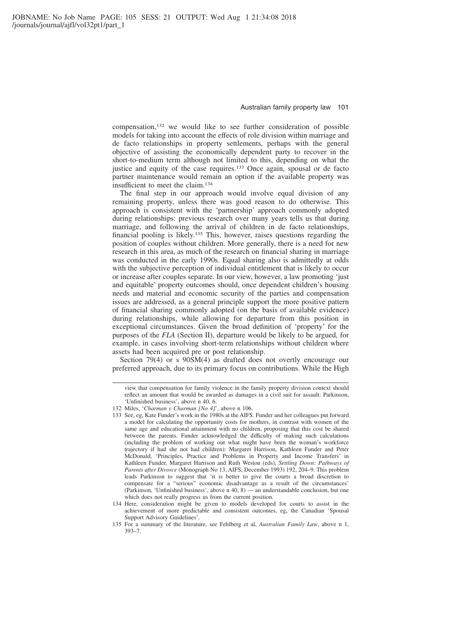compensation,132 we would like to see further consideration of possible models for taking into account the effects of role division within marriage and de facto relationships in property settlements, perhaps with the general objective of assisting the economically dependent party to recover in the short-to-medium term although not limited to this, depending on what the justice and equity of the case requires.<sup>133</sup> Once again, spousal or de facto partner maintenance would remain an option if the available property was insufficient to meet the claim.134

The final step in our approach would involve equal division of any remaining property, unless there was good reason to do otherwise. This approach is consistent with the 'partnership' approach commonly adopted during relationships: previous research over many years tells us that during marriage, and following the arrival of children in de facto relationships, financial pooling is likely.135 This, however, raises questions regarding the position of couples without children. More generally, there is a need for new research in this area, as much of the research on financial sharing in marriage was conducted in the early 1990s. Equal sharing also is admittedly at odds with the subjective perception of individual entitlement that is likely to occur or increase after couples separate. In our view, however, a law promoting 'just and equitable' property outcomes should, once dependent children's housing needs and material and economic security of the parties and compensation issues are addressed, as a general principle support the more positive pattern of financial sharing commonly adopted (on the basis of available evidence) during relationships, while allowing for departure from this position in exceptional circumstances. Given the broad definition of 'property' for the purposes of the *FLA* (Section II), departure would be likely to be argued, for example, in cases involving short-term relationships without children where assets had been acquired pre or post relationship.

Section 79(4) or s 90SM(4) as drafted does not overtly encourage our preferred approach, due to its primary focus on contributions. While the High

view that compensation for family violence in the family property division context should reflect an amount that would be awarded as damages in a civil suit for assault: Parkinson, 'Unfinished business', above n 40, 6.

<sup>132</sup> Miles, '*Charman v Charman [No 4]*', above n 106.

<sup>133</sup> See, eg, Kate Funder's work in the 1980s at the AIFS. Funder and her colleagues put forward a model for calculating the opportunity costs for mothers, in contrast with women of the same age and educational attainment with no children, proposing that this cost be shared between the parents. Funder acknowledged the difficulty of making such calculations (including the problem of working out what might have been the woman's workforce trajectory if had she not had children): Margaret Harrison, Kathleen Funder and Peter McDonald, 'Principles, Practice and Problems in Property and Income Transfers' in Kathleen Funder, Margaret Harrison and Ruth Weston (eds), *Settling Down: Pathways of Parents after Divorce* (Monograph No 13, AIFS, December 1993) 192, 204–9. This problem leads Parkinson to suggest that 'it is better to give the courts a broad discretion to compensate for a "serious" economic disadvantage as a result of the circumstances' (Parkinson, 'Unfinished business', above n 40, 8) — an understandable conclusion, but one which does not really progress us from the current position.

<sup>134</sup> Here, consideration might be given to models developed for courts to assist in the achievement of more predictable and consistent outcomes, eg, the Canadian 'Spousal Support Advisory Guidelines'.

<sup>135</sup> For a summary of the literature, see Fehlberg et al, *Australian Family Law*, above n 1, 393–7.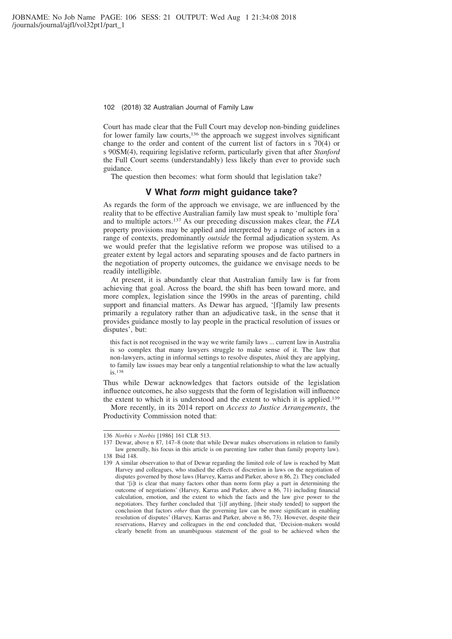Court has made clear that the Full Court may develop non-binding guidelines for lower family law courts,136 the approach we suggest involves significant change to the order and content of the current list of factors in s 70(4) or s 90SM(4), requiring legislative reform, particularly given that after *Stanford* the Full Court seems (understandably) less likely than ever to provide such guidance.

The question then becomes: what form should that legislation take?

### **V What** *form* **might guidance take?**

As regards the form of the approach we envisage, we are influenced by the reality that to be effective Australian family law must speak to 'multiple fora' and to multiple actors.137 As our preceding discussion makes clear, the *FLA* property provisions may be applied and interpreted by a range of actors in a range of contexts, predominantly *outside* the formal adjudication system. As we would prefer that the legislative reform we propose was utilised to a greater extent by legal actors and separating spouses and de facto partners in the negotiation of property outcomes, the guidance we envisage needs to be readily intelligible.

At present, it is abundantly clear that Australian family law is far from achieving that goal. Across the board, the shift has been toward more, and more complex, legislation since the 1990s in the areas of parenting, child support and financial matters. As Dewar has argued, '[f]amily law presents primarily a regulatory rather than an adjudicative task, in the sense that it provides guidance mostly to lay people in the practical resolution of issues or disputes', but:

this fact is not recognised in the way we write family laws ... current law in Australia is so complex that many lawyers struggle to make sense of it. The law that non-lawyers, acting in informal settings to resolve disputes, *think* they are applying, to family law issues may bear only a tangential relationship to what the law actually is.138

Thus while Dewar acknowledges that factors outside of the legislation influence outcomes, he also suggests that the form of legislation will influence the extent to which it is understood and the extent to which it is applied.139

More recently, in its 2014 report on *Access to Justice Arrangements*, the Productivity Commission noted that:

<sup>136</sup> *Norbis v Norbis* [1986] 161 CLR 513.

<sup>137</sup> Dewar, above n 87, 147–8 (note that while Dewar makes observations in relation to family law generally, his focus in this article is on parenting law rather than family property law). 138 Ibid 148.

<sup>139</sup> A similar observation to that of Dewar regarding the limited role of law is reached by Matt Harvey and colleagues, who studied the effects of discretion in laws on the negotiation of disputes governed by those laws (Harvey, Karras and Parker, above n 86, 2). They concluded that '[i]t is clear that many factors other than norm form play a part in determining the outcome of negotiations' (Harvey, Karras and Parker, above n 86, 71) including financial calculation, emotion, and the extent to which the facts and the law give power to the negotiators. They further concluded that '[i]f anything, [their study tended] to support the conclusion that factors *other* than the governing law can be more significant in enabling resolution of disputes' (Harvey, Karras and Parker, above n 86, 73). However, despite their reservations, Harvey and colleagues in the end concluded that, 'Decision-makers would clearly benefit from an unambiguous statement of the goal to be achieved when the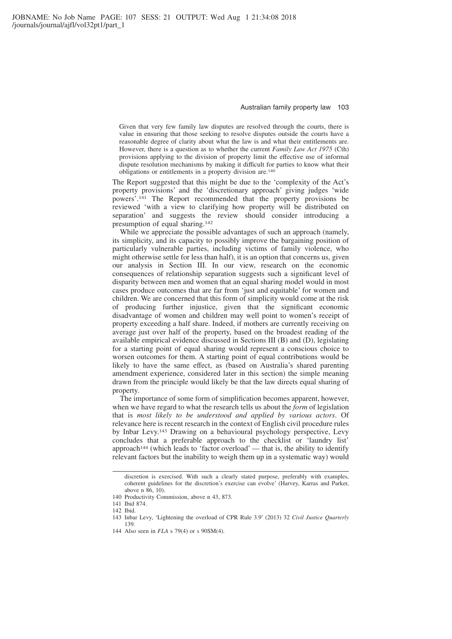Given that very few family law disputes are resolved through the courts, there is value in ensuring that those seeking to resolve disputes outside the courts have a reasonable degree of clarity about what the law is and what their entitlements are. However, there is a question as to whether the current *Family Law Act 1975* (Cth) provisions applying to the division of property limit the effective use of informal dispute resolution mechanisms by making it difficult for parties to know what their obligations or entitlements in a property division are.140

The Report suggested that this might be due to the 'complexity of the Act's property provisions' and the 'discretionary approach' giving judges 'wide powers'.141 The Report recommended that the property provisions be reviewed 'with a view to clarifying how property will be distributed on separation' and suggests the review should consider introducing a presumption of equal sharing.142

While we appreciate the possible advantages of such an approach (namely, its simplicity, and its capacity to possibly improve the bargaining position of particularly vulnerable parties, including victims of family violence, who might otherwise settle for less than half), it is an option that concerns us, given our analysis in Section III. In our view, research on the economic consequences of relationship separation suggests such a significant level of disparity between men and women that an equal sharing model would in most cases produce outcomes that are far from 'just and equitable' for women and children. We are concerned that this form of simplicity would come at the risk of producing further injustice, given that the significant economic disadvantage of women and children may well point to women's receipt of property exceeding a half share. Indeed, if mothers are currently receiving on average just over half of the property, based on the broadest reading of the available empirical evidence discussed in Sections III (B) and (D), legislating for a starting point of equal sharing would represent a conscious choice to worsen outcomes for them. A starting point of equal contributions would be likely to have the same effect, as (based on Australia's shared parenting amendment experience, considered later in this section) the simple meaning drawn from the principle would likely be that the law directs equal sharing of property.

The importance of some form of simplification becomes apparent, however, when we have regard to what the research tells us about the *form* of legislation that is *most likely to be understood and applied by various actors*. Of relevance here is recent research in the context of English civil procedure rules by Inbar Levy.143 Drawing on a behavioural psychology perspective, Levy concludes that a preferable approach to the checklist or 'laundry list' approach<sup>144</sup> (which leads to 'factor overload' — that is, the ability to identify relevant factors but the inability to weigh them up in a systematic way) would

discretion is exercised. With such a clearly stated purpose, preferably with examples, coherent guidelines for the discretion's exercise can evolve' (Harvey, Karras and Parker, above n 86, 10).

<sup>140</sup> Productivity Commission, above n 43, 873.

<sup>141</sup> Ibid 874.

<sup>142</sup> Ibid.

<sup>143</sup> Inbar Levy, 'Lightening the overload of CPR Rule 3.9' (2013) 32 *Civil Justice Quarterly* 139.

<sup>144</sup> Also seen in *FLA* s 79(4) or s 90SM(4).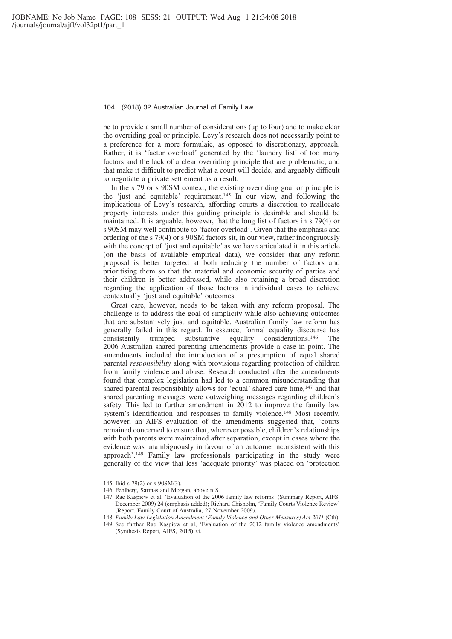be to provide a small number of considerations (up to four) and to make clear the overriding goal or principle. Levy's research does not necessarily point to a preference for a more formulaic, as opposed to discretionary, approach. Rather, it is 'factor overload' generated by the 'laundry list' of too many factors and the lack of a clear overriding principle that are problematic, and that make it difficult to predict what a court will decide, and arguably difficult to negotiate a private settlement as a result.

In the s 79 or s 90SM context, the existing overriding goal or principle is the 'just and equitable' requirement.145 In our view, and following the implications of Levy's research, affording courts a discretion to reallocate property interests under this guiding principle is desirable and should be maintained. It is arguable, however, that the long list of factors in s 79(4) or s 90SM may well contribute to 'factor overload'. Given that the emphasis and ordering of the s 79(4) or s 90SM factors sit, in our view, rather incongruously with the concept of 'just and equitable' as we have articulated it in this article (on the basis of available empirical data), we consider that any reform proposal is better targeted at both reducing the number of factors and prioritising them so that the material and economic security of parties and their children is better addressed, while also retaining a broad discretion regarding the application of those factors in individual cases to achieve contextually 'just and equitable' outcomes.

Great care, however, needs to be taken with any reform proposal. The challenge is to address the goal of simplicity while also achieving outcomes that are substantively just and equitable. Australian family law reform has generally failed in this regard. In essence, formal equality discourse has consistently trumped substantive equality considerations.146 The 2006 Australian shared parenting amendments provide a case in point. The amendments included the introduction of a presumption of equal shared parental *responsibility* along with provisions regarding protection of children from family violence and abuse. Research conducted after the amendments found that complex legislation had led to a common misunderstanding that shared parental responsibility allows for 'equal' shared care time,<sup>147</sup> and that shared parenting messages were outweighing messages regarding children's safety. This led to further amendment in 2012 to improve the family law system's identification and responses to family violence.<sup>148</sup> Most recently, however, an AIFS evaluation of the amendments suggested that, 'courts remained concerned to ensure that, wherever possible, children's relationships with both parents were maintained after separation, except in cases where the evidence was unambiguously in favour of an outcome inconsistent with this approach'.149 Family law professionals participating in the study were generally of the view that less 'adequate priority' was placed on 'protection

<sup>145</sup> Ibid s 79(2) or s 90SM(3).

<sup>146</sup> Fehlberg, Sarmas and Morgan, above n 8.

<sup>147</sup> Rae Kaspiew et al, 'Evaluation of the 2006 family law reforms' (Summary Report, AIFS, December 2009) 24 (emphasis added); Richard Chisholm, 'Family Courts Violence Review' (Report, Family Court of Australia, 27 November 2009).

<sup>148</sup> *Family Law Legislation Amendment (Family Violence and Other Measures) Act 2011* (Cth).

<sup>149</sup> See further Rae Kaspiew et al, 'Evaluation of the 2012 family violence amendments' (Synthesis Report, AIFS, 2015) xi.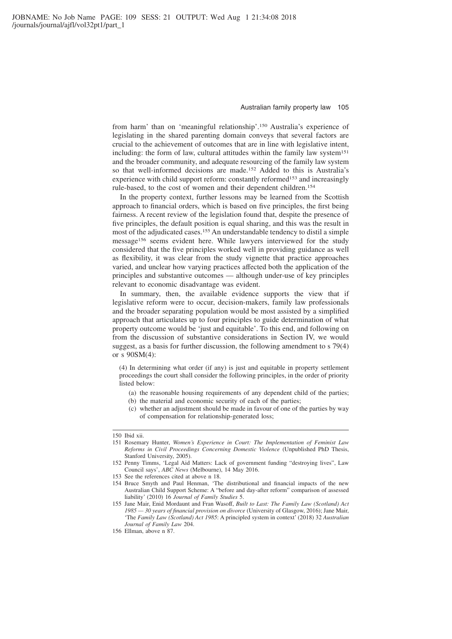from harm' than on 'meaningful relationship'.150 Australia's experience of legislating in the shared parenting domain conveys that several factors are crucial to the achievement of outcomes that are in line with legislative intent, including: the form of law, cultural attitudes within the family law system<sup>151</sup> and the broader community, and adequate resourcing of the family law system so that well-informed decisions are made.152 Added to this is Australia's experience with child support reform: constantly reformed<sup>153</sup> and increasingly rule-based, to the cost of women and their dependent children.154

In the property context, further lessons may be learned from the Scottish approach to financial orders, which is based on five principles, the first being fairness. A recent review of the legislation found that, despite the presence of five principles, the default position is equal sharing, and this was the result in most of the adjudicated cases.155 An understandable tendency to distil a simple message156 seems evident here. While lawyers interviewed for the study considered that the five principles worked well in providing guidance as well as flexibility, it was clear from the study vignette that practice approaches varied, and unclear how varying practices affected both the application of the principles and substantive outcomes — although under-use of key principles relevant to economic disadvantage was evident.

In summary, then, the available evidence supports the view that if legislative reform were to occur, decision-makers, family law professionals and the broader separating population would be most assisted by a simplified approach that articulates up to four principles to guide determination of what property outcome would be 'just and equitable'. To this end, and following on from the discussion of substantive considerations in Section IV, we would suggest, as a basis for further discussion, the following amendment to s 79(4) or s 90SM(4):

(4) In determining what order (if any) is just and equitable in property settlement proceedings the court shall consider the following principles, in the order of priority listed below:

- (a) the reasonable housing requirements of any dependent child of the parties;
- (b) the material and economic security of each of the parties;
- (c) whether an adjustment should be made in favour of one of the parties by way of compensation for relationship-generated loss;

<sup>150</sup> Ibid xii.

<sup>151</sup> Rosemary Hunter, *Women's Experience in Court: The Implementation of Feminist Law Reforms in Civil Proceedings Concerning Domestic Violence* (Unpublished PhD Thesis, Stanford University, 2005).

<sup>152</sup> Penny Timms, 'Legal Aid Matters: Lack of government funding "destroying lives", Law Council says', *ABC News* (Melbourne), 14 May 2016.

<sup>153</sup> See the references cited at above n 18.

<sup>154</sup> Bruce Smyth and Paul Henman, 'The distributional and financial impacts of the new Australian Child Support Scheme: A "before and day-after reform" comparison of assessed liability' (2010) 16 *Journal of Family Studies* 5.

<sup>155</sup> Jane Mair, Enid Mordaunt and Fran Wasoff, *Built to Last: The Family Law (Scotland) Act 1985 — 30 years of financial provision on divorce* (University of Glasgow, 2016); Jane Mair, 'The *Family Law (Scotland) Act 1985*: A principled system in context' (2018) 32 *Australian Journal of Family Law* 204.

<sup>156</sup> Ellman, above n 87.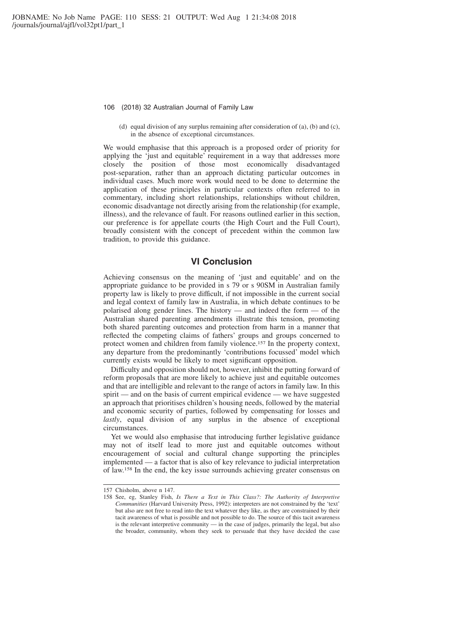(d) equal division of any surplus remaining after consideration of (a), (b) and (c), in the absence of exceptional circumstances.

We would emphasise that this approach is a proposed order of priority for applying the 'just and equitable' requirement in a way that addresses more closely the position of those most economically disadvantaged post-separation, rather than an approach dictating particular outcomes in individual cases. Much more work would need to be done to determine the application of these principles in particular contexts often referred to in commentary, including short relationships, relationships without children, economic disadvantage not directly arising from the relationship (for example, illness), and the relevance of fault. For reasons outlined earlier in this section, our preference is for appellate courts (the High Court and the Full Court), broadly consistent with the concept of precedent within the common law tradition, to provide this guidance.

### **VI Conclusion**

Achieving consensus on the meaning of 'just and equitable' and on the appropriate guidance to be provided in s 79 or s 90SM in Australian family property law is likely to prove difficult, if not impossible in the current social and legal context of family law in Australia, in which debate continues to be polarised along gender lines. The history — and indeed the form — of the Australian shared parenting amendments illustrate this tension, promoting both shared parenting outcomes and protection from harm in a manner that reflected the competing claims of fathers' groups and groups concerned to protect women and children from family violence.157 In the property context, any departure from the predominantly 'contributions focussed' model which currently exists would be likely to meet significant opposition.

Difficulty and opposition should not, however, inhibit the putting forward of reform proposals that are more likely to achieve just and equitable outcomes and that are intelligible and relevant to the range of actors in family law. In this spirit — and on the basis of current empirical evidence — we have suggested an approach that prioritises children's housing needs, followed by the material and economic security of parties, followed by compensating for losses and *lastly*, equal division of any surplus in the absence of exceptional circumstances.

Yet we would also emphasise that introducing further legislative guidance may not of itself lead to more just and equitable outcomes without encouragement of social and cultural change supporting the principles implemented — a factor that is also of key relevance to judicial interpretation of law.158 In the end, the key issue surrounds achieving greater consensus on

<sup>157</sup> Chisholm, above n 147.

<sup>158</sup> See, eg, Stanley Fish, *Is There a Text in This Class?: The Authority of Interpretive Communities* (Harvard University Press, 1992): interpreters are not constrained by the 'text' but also are not free to read into the text whatever they like, as they are constrained by their tacit awareness of what is possible and not possible to do. The source of this tacit awareness is the relevant interpretive community — in the case of judges, primarily the legal, but also the broader, community, whom they seek to persuade that they have decided the case